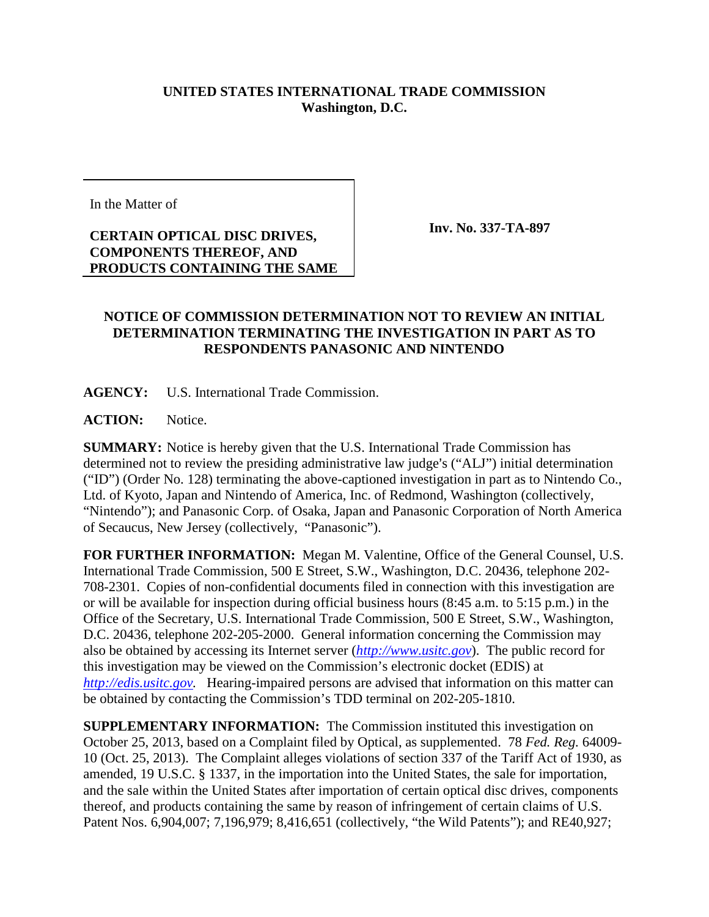## **UNITED STATES INTERNATIONAL TRADE COMMISSION Washington, D.C.**

In the Matter of

**CERTAIN OPTICAL DISC DRIVES, COMPONENTS THEREOF, AND PRODUCTS CONTAINING THE SAME** **Inv. No. 337-TA-897**

## **NOTICE OF COMMISSION DETERMINATION NOT TO REVIEW AN INITIAL DETERMINATION TERMINATING THE INVESTIGATION IN PART AS TO RESPONDENTS PANASONIC AND NINTENDO**

**AGENCY:** U.S. International Trade Commission.

**ACTION:** Notice.

**SUMMARY:** Notice is hereby given that the U.S. International Trade Commission has determined not to review the presiding administrative law judge's ("ALJ") initial determination ("ID") (Order No. 128) terminating the above-captioned investigation in part as to Nintendo Co., Ltd. of Kyoto, Japan and Nintendo of America, Inc. of Redmond, Washington (collectively, "Nintendo"); and Panasonic Corp. of Osaka, Japan and Panasonic Corporation of North America of Secaucus, New Jersey (collectively, "Panasonic").

**FOR FURTHER INFORMATION:** Megan M. Valentine, Office of the General Counsel, U.S. International Trade Commission, 500 E Street, S.W., Washington, D.C. 20436, telephone 202- 708-2301. Copies of non-confidential documents filed in connection with this investigation are or will be available for inspection during official business hours (8:45 a.m. to 5:15 p.m.) in the Office of the Secretary, U.S. International Trade Commission, 500 E Street, S.W., Washington, D.C. 20436, telephone 202-205-2000. General information concerning the Commission may also be obtained by accessing its Internet server (*http://www.usitc.gov*). The public record for this investigation may be viewed on the Commission's electronic docket (EDIS) at *http://edis.usitc.gov.* Hearing-impaired persons are advised that information on this matter can be obtained by contacting the Commission's TDD terminal on 202-205-1810.

**SUPPLEMENTARY INFORMATION:** The Commission instituted this investigation on October 25, 2013, based on a Complaint filed by Optical, as supplemented. 78 *Fed. Reg.* 64009- 10 (Oct. 25, 2013). The Complaint alleges violations of section 337 of the Tariff Act of 1930, as amended, 19 U.S.C. § 1337, in the importation into the United States, the sale for importation, and the sale within the United States after importation of certain optical disc drives, components thereof, and products containing the same by reason of infringement of certain claims of U.S. Patent Nos. 6,904,007; 7,196,979; 8,416,651 (collectively, "the Wild Patents"); and RE40,927;